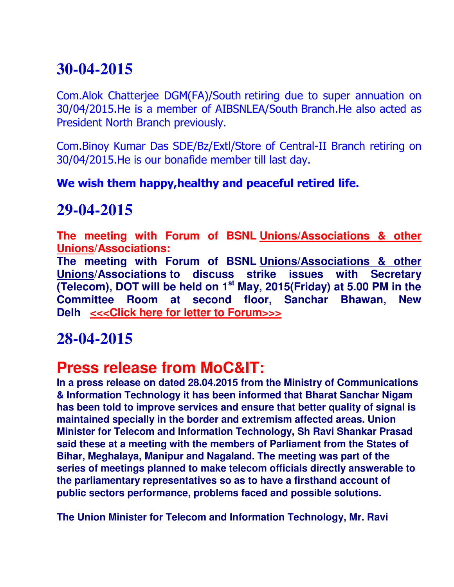# **30-04-2015**

Com.Alok Chatterjee DGM(FA)/South retiring due to super annuation on 30/04/2015.He is a member of AIBSNLEA/South Branch.He also acted as President North Branch previously.

Com.Binoy Kumar Das SDE/Bz/Extl/Store of Central-II Branch retiring on 30/04/2015.He is our bonafide member till last day.

#### **We wish them happy,healthy and peaceful retired life.**

### **29-04-2015**

**The meeting with Forum of BSNL Unions/Associations & other Unions/Associations:**

**The meeting with Forum of BSNL Unions/Associations & other Unions/Associations to discuss strike issues with Secretary (Telecom), DOT will be held on 1st May, 2015(Friday) at 5.00 PM in the Committee Room at second floor, Sanchar Bhawan, New Delh <<<Click here for letter to Forum>>>**

### **28-04-2015**

### **Press release from MoC&IT:**

**In a press release on dated 28.04.2015 from the Ministry of Communications & Information Technology it has been informed that Bharat Sanchar Nigam has been told to improve services and ensure that better quality of signal is maintained specially in the border and extremism affected areas. Union Minister for Telecom and Information Technology, Sh Ravi Shankar Prasad said these at a meeting with the members of Parliament from the States of Bihar, Meghalaya, Manipur and Nagaland. The meeting was part of the series of meetings planned to make telecom officials directly answerable to the parliamentary representatives so as to have a firsthand account of public sectors performance, problems faced and possible solutions.** 

**The Union Minister for Telecom and Information Technology, Mr. Ravi**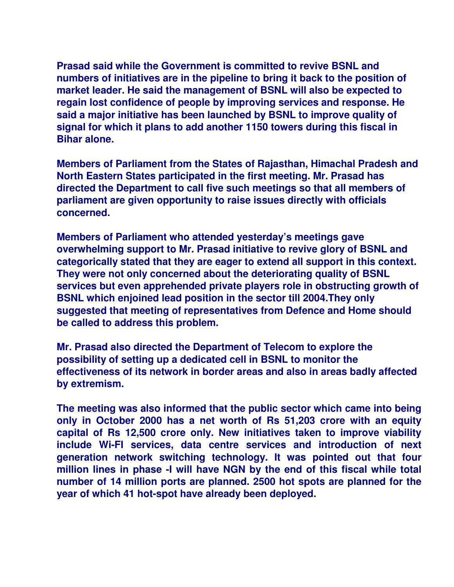**Prasad said while the Government is committed to revive BSNL and numbers of initiatives are in the pipeline to bring it back to the position of market leader. He said the management of BSNL will also be expected to regain lost confidence of people by improving services and response. He said a major initiative has been launched by BSNL to improve quality of signal for which it plans to add another 1150 towers during this fiscal in Bihar alone.** 

**Members of Parliament from the States of Rajasthan, Himachal Pradesh and North Eastern States participated in the first meeting. Mr. Prasad has directed the Department to call five such meetings so that all members of parliament are given opportunity to raise issues directly with officials concerned.** 

**Members of Parliament who attended yesterday's meetings gave overwhelming support to Mr. Prasad initiative to revive glory of BSNL and categorically stated that they are eager to extend all support in this context. They were not only concerned about the deteriorating quality of BSNL services but even apprehended private players role in obstructing growth of BSNL which enjoined lead position in the sector till 2004.They only suggested that meeting of representatives from Defence and Home should be called to address this problem.** 

**Mr. Prasad also directed the Department of Telecom to explore the possibility of setting up a dedicated cell in BSNL to monitor the effectiveness of its network in border areas and also in areas badly affected by extremism.** 

**The meeting was also informed that the public sector which came into being only in October 2000 has a net worth of Rs 51,203 crore with an equity capital of Rs 12,500 crore only. New initiatives taken to improve viability include Wi-FI services, data centre services and introduction of next generation network switching technology. It was pointed out that four million lines in phase -I will have NGN by the end of this fiscal while total number of 14 million ports are planned. 2500 hot spots are planned for the year of which 41 hot-spot have already been deployed.**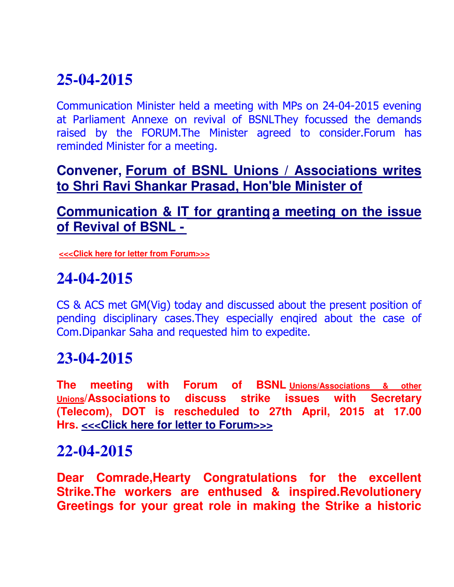# **25-04-2015**

Communication Minister held a meeting with MPs on 24-04-2015 evening at Parliament Annexe on revival of BSNLThey focussed the demands raised by the FORUM.The Minister agreed to consider.Forum has reminded Minister for a meeting.

### **Convener, Forum of BSNL Unions / Associations writes to Shri Ravi Shankar Prasad, Hon'ble Minister of**

### **Communication & IT for granting a meeting on the issue of Revival of BSNL -**

**<<<Click here for letter from Forum>>>**

## **24-04-2015**

CS & ACS met GM(Vig) today and discussed about the present position of pending disciplinary cases.They especially enqired about the case of Com.Dipankar Saha and requested him to expedite.

## **23-04-2015**

**The meeting with Forum of BSNL Unions/Associations & other Unions/Associations to discuss strike issues with Secretary (Telecom), DOT is rescheduled to 27th April, 2015 at 17.00 Hrs. <<<Click here for letter to Forum>>>**

### **22-04-2015**

**Dear Comrade,Hearty Congratulations for the excellent Strike.The workers are enthused & inspired.Revolutionery Greetings for your great role in making the Strike a historic**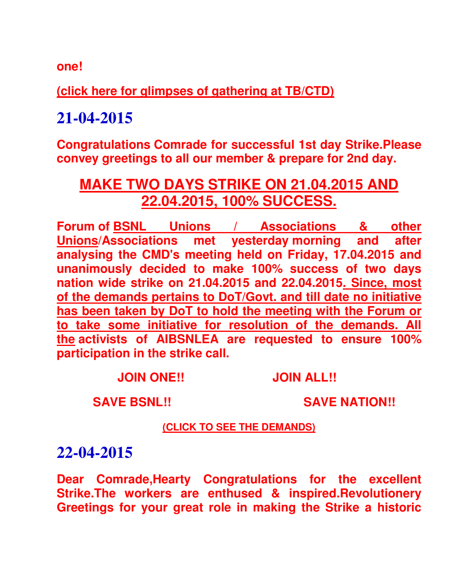**one!**

**(click here for glimpses of gathering at TB/CTD)**

**21-04-2015**

**Congratulations Comrade for successful 1st day Strike.Please convey greetings to all our member & prepare for 2nd day.**

### **MAKE TWO DAYS STRIKE ON 21.04.2015 AND 22.04.2015, 100% SUCCESS.**

**Forum of BSNL Unions / Associations & other Unions/Associations met yesterday morning and after analysing the CMD's meeting held on Friday, 17.04.2015 and unanimously decided to make 100% success of two days nation wide strike on 21.04.2015 and 22.04.2015. Since, most of the demands pertains to DoT/Govt. and till date no initiative has been taken by DoT to hold the meeting with the Forum or to take some initiative for resolution of the demands. All the activists of AIBSNLEA are requested to ensure 100% participation in the strike call.**

 **JOIN ONE!! JOIN ALL!!** 

 **SAVE BSNL!! SAVE NATION!!**

#### **(CLICK TO SEE THE DEMANDS)**

### **22-04-2015**

**Dear Comrade,Hearty Congratulations for the excellent Strike.The workers are enthused & inspired.Revolutionery Greetings for your great role in making the Strike a historic**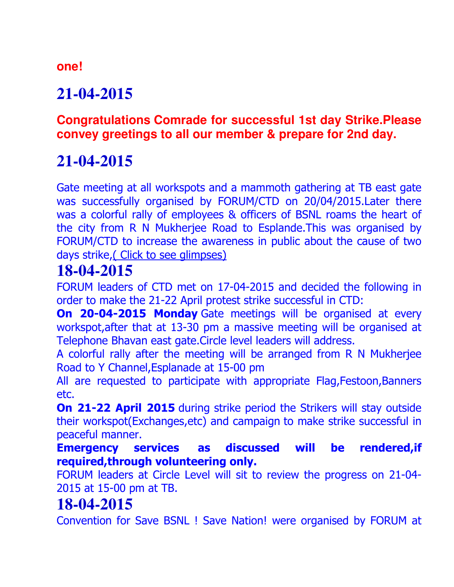#### **one!**

# **21-04-2015**

### **Congratulations Comrade for successful 1st day Strike.Please convey greetings to all our member & prepare for 2nd day.**

# **21-04-2015**

Gate meeting at all workspots and a mammoth gathering at TB east gate was successfully organised by FORUM/CTD on 20/04/2015.Later there was a colorful rally of employees & officers of BSNL roams the heart of the city from R N Mukherjee Road to Esplande.This was organised by FORUM/CTD to increase the awareness in public about the cause of two days strike,( Click to see glimpses)

## **18-04-2015**

FORUM leaders of CTD met on 17-04-2015 and decided the following in order to make the 21-22 April protest strike successful in CTD:

**On 20-04-2015 Monday** Gate meetings will be organised at every workspot,after that at 13-30 pm a massive meeting will be organised at Telephone Bhavan east gate.Circle level leaders will address.

A colorful rally after the meeting will be arranged from R N Mukherjee Road to Y Channel,Esplanade at 15-00 pm

All are requested to participate with appropriate Flag,Festoon,Banners etc.

**On 21-22 April 2015** during strike period the Strikers will stay outside their workspot(Exchanges,etc) and campaign to make strike successful in peaceful manner.

**Emergency services as discussed will be rendered,if required,through volunteering only.**

FORUM leaders at Circle Level will sit to review the progress on 21-04- 2015 at 15-00 pm at TB.

## **18-04-2015**

Convention for Save BSNL ! Save Nation! were organised by FORUM at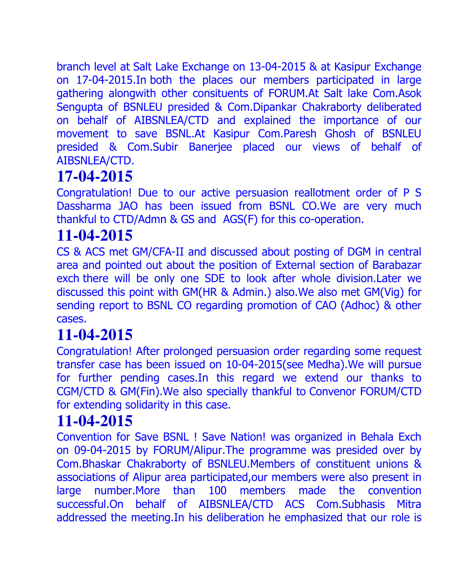branch level at Salt Lake Exchange on 13-04-2015 & at Kasipur Exchange on 17-04-2015.In both the places our members participated in large gathering alongwith other consituents of FORUM.At Salt lake Com.Asok Sengupta of BSNLEU presided & Com.Dipankar Chakraborty deliberated on behalf of AIBSNLEA/CTD and explained the importance of our movement to save BSNL.At Kasipur Com.Paresh Ghosh of BSNLEU presided & Com.Subir Banerjee placed our views of behalf of AIBSNLEA/CTD.

# **17-04-2015**

Congratulation! Due to our active persuasion reallotment order of P S Dassharma JAO has been issued from BSNL CO.We are very much thankful to CTD/Admn & GS and AGS(F) for this co-operation.

# **11-04-2015**

CS & ACS met GM/CFA-II and discussed about posting of DGM in central area and pointed out about the position of External section of Barabazar exch there will be only one SDE to look after whole division.Later we discussed this point with GM(HR & Admin.) also.We also met GM(Vig) for sending report to BSNL CO regarding promotion of CAO (Adhoc) & other cases.

# **11-04-2015**

Congratulation! After prolonged persuasion order regarding some request transfer case has been issued on 10-04-2015(see Medha).We will pursue for further pending cases.In this regard we extend our thanks to CGM/CTD & GM(Fin).We also specially thankful to Convenor FORUM/CTD for extending solidarity in this case.

## **11-04-2015**

Convention for Save BSNL ! Save Nation! was organized in Behala Exch on 09-04-2015 by FORUM/Alipur.The programme was presided over by Com.Bhaskar Chakraborty of BSNLEU.Members of constituent unions & associations of Alipur area participated,our members were also present in large number.More than 100 members made the convention successful.On behalf of AIBSNLEA/CTD ACS Com.Subhasis Mitra addressed the meeting.In his deliberation he emphasized that our role is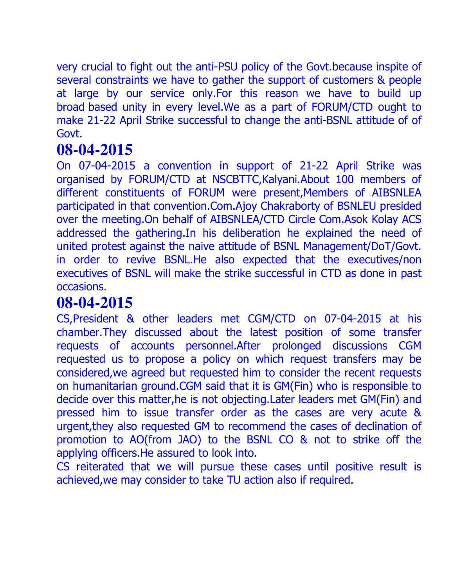very crucial to fight out the anti-PSU policy of the Govt.because inspite of several constraints we have to gather the support of customers & people at large by our service only.For this reason we have to build up broad based unity in every level.We as a part of FORUM/CTD ought to make 21-22 April Strike successful to change the anti-BSNL attitude of of Govt.

## **08-04-2015**

On 07-04-2015 a convention in support of 21-22 April Strike was organised by FORUM/CTD at NSCBTTC,Kalyani.About 100 members of different constituents of FORUM were present,Members of AIBSNLEA participated in that convention.Com.Ajoy Chakraborty of BSNLEU presided over the meeting.On behalf of AIBSNLEA/CTD Circle Com.Asok Kolay ACS addressed the gathering.In his deliberation he explained the need of united protest against the naive attitude of BSNL Management/DoT/Govt. in order to revive BSNL.He also expected that the executives/non executives of BSNL will make the strike successful in CTD as done in past occasions.

## **08-04-2015**

CS,President & other leaders met CGM/CTD on 07-04-2015 at his chamber.They discussed about the latest position of some transfer requests of accounts personnel.After prolonged discussions CGM requested us to propose a policy on which request transfers may be considered,we agreed but requested him to consider the recent requests on humanitarian ground.CGM said that it is GM(Fin) who is responsible to decide over this matter,he is not objecting.Later leaders met GM(Fin) and pressed him to issue transfer order as the cases are very acute & urgent,they also requested GM to recommend the cases of declination of promotion to AO(from JAO) to the BSNL CO & not to strike off the applying officers.He assured to look into.

CS reiterated that we will pursue these cases until positive result is achieved,we may consider to take TU action also if required.